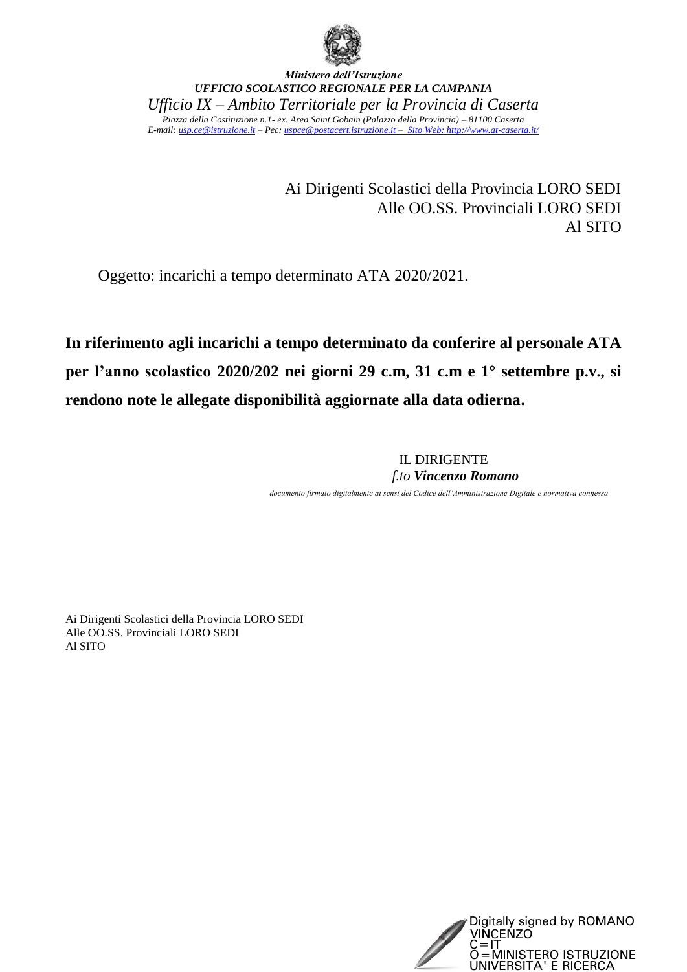

*Ministero dell'Istruzione UFFICIO SCOLASTICO REGIONALE PER LA CAMPANIA Ufficio IX – Ambito Territoriale per la Provincia di Caserta Piazza della Costituzione n.1- ex. Area Saint Gobain (Palazzo della Provincia) – 81100 Caserta E-mail: [usp.ce@istruzione.it](mailto:usp.ce@istruzione.it) – Pec[: uspce@postacert.istruzione.it](mailto:uspce@postacert.istruzione.it) – Sito Web[: http://www.at-caserta.it/](http://www.at-caserta.it/)*

> Ai Dirigenti Scolastici della Provincia LORO SEDI Alle OO.SS. Provinciali LORO SEDI Al SITO

Oggetto: incarichi a tempo determinato ATA 2020/2021.

**In riferimento agli incarichi a tempo determinato da conferire al personale ATA per l'anno scolastico 2020/202 nei giorni 29 c.m, 31 c.m e 1° settembre p.v., si rendono note le allegate disponibilità aggiornate alla data odierna.**

> IL DIRIGENTE *f.to Vincenzo Romano documento firmato digitalmente ai sensi del Codice dell'Amministrazione Digitale e normativa connessa*

Ai Dirigenti Scolastici della Provincia LORO SEDI Alle OO.SS. Provinciali LORO SEDI Al SITO

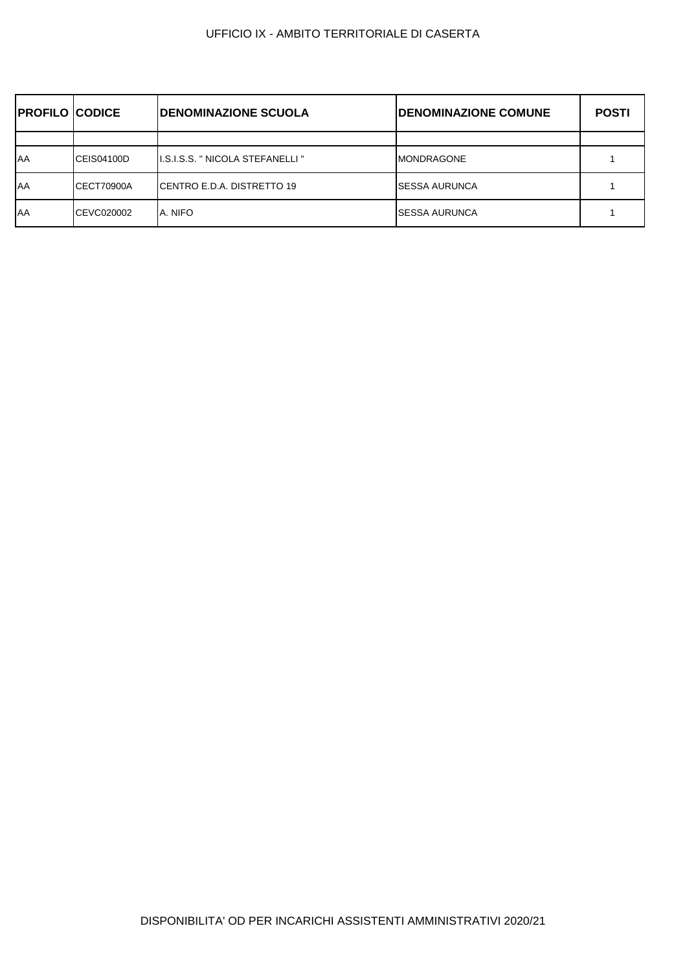| <b>PROFILO CODICE</b> |                   | <b>IDENOMINAZIONE SCUOLA</b>       | <b>DENOMINAZIONE COMUNE</b> | <b>POSTI</b> |
|-----------------------|-------------------|------------------------------------|-----------------------------|--------------|
|                       |                   |                                    |                             |              |
| <b>AA</b>             | CEIS04100D        | II.S.I.S.S. " NICOLA STEFANELLI "  | <b>MONDRAGONE</b>           |              |
| <b>AA</b>             | CECT70900A        | <b>ICENTRO E.D.A. DISTRETTO 19</b> | <b>SESSA AURUNCA</b>        |              |
| <b>AA</b>             | <b>CEVC020002</b> | A. NIFO                            | <b>SESSA AURUNCA</b>        |              |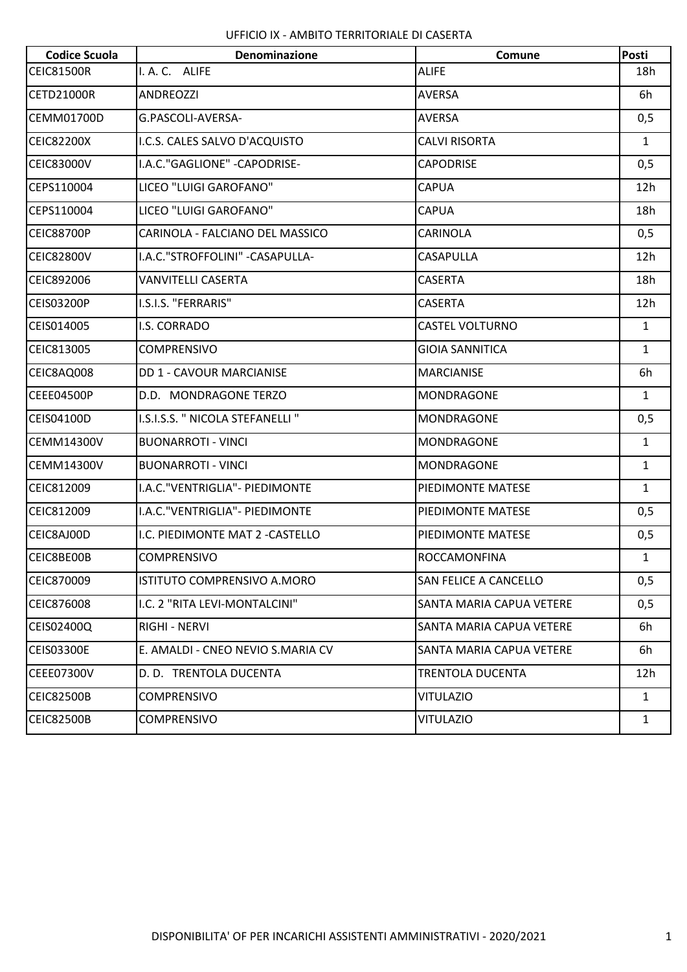| <b>Codice Scuola</b> | <b>Denominazione</b>              | Comune                          | Posti        |
|----------------------|-----------------------------------|---------------------------------|--------------|
| <b>CEIC81500R</b>    | I. A. C. ALIFE                    | <b>ALIFE</b>                    | 18h          |
| <b>CETD21000R</b>    | <b>ANDREOZZI</b>                  | AVERSA                          | 6h           |
| <b>CEMM01700D</b>    | G.PASCOLI-AVERSA-                 | <b>AVERSA</b>                   | 0,5          |
| <b>CEIC82200X</b>    | I.C.S. CALES SALVO D'ACQUISTO     | <b>CALVI RISORTA</b>            | $\mathbf{1}$ |
| <b>CEIC83000V</b>    | I.A.C."GAGLIONE" - CAPODRISE-     | <b>CAPODRISE</b>                | 0,5          |
| CEPS110004           | LICEO "LUIGI GAROFANO"            | <b>CAPUA</b>                    | 12h          |
| CEPS110004           | LICEO "LUIGI GAROFANO"            | <b>CAPUA</b>                    | 18h          |
| <b>CEIC88700P</b>    | CARINOLA - FALCIANO DEL MASSICO   | <b>CARINOLA</b>                 | 0,5          |
| <b>CEIC82800V</b>    | I.A.C."STROFFOLINI" - CASAPULLA-  | <b>CASAPULLA</b>                | 12h          |
| CEIC892006           | VANVITELLI CASERTA                | <b>CASERTA</b>                  | 18h          |
| <b>CEIS03200P</b>    | I.S.I.S. "FERRARIS"               | <b>CASERTA</b>                  | 12h          |
| CEIS014005           | I.S. CORRADO                      | <b>CASTEL VOLTURNO</b>          | $\mathbf{1}$ |
| CEIC813005           | <b>COMPRENSIVO</b>                | <b>GIOIA SANNITICA</b>          | $\mathbf{1}$ |
| CEIC8AQ008           | <b>DD 1 - CAVOUR MARCIANISE</b>   | <b>MARCIANISE</b>               | 6h           |
| CEEE04500P           | D.D. MONDRAGONE TERZO             | <b>MONDRAGONE</b>               | $\mathbf{1}$ |
| CEIS04100D           | I.S.I.S.S. " NICOLA STEFANELLI "  | <b>MONDRAGONE</b>               | 0,5          |
| <b>CEMM14300V</b>    | <b>BUONARROTI - VINCI</b>         | <b>MONDRAGONE</b>               | $\mathbf{1}$ |
| <b>CEMM14300V</b>    | <b>BUONARROTI - VINCI</b>         | <b>MONDRAGONE</b>               | $\mathbf{1}$ |
| CEIC812009           | I.A.C. "VENTRIGLIA" - PIEDIMONTE  | PIEDIMONTE MATESE               | $\mathbf{1}$ |
| CEIC812009           | I.A.C. "VENTRIGLIA" - PIEDIMONTE  | PIEDIMONTE MATESE               | 0,5          |
| CEIC8AJ00D           | I.C. PIEDIMONTE MAT 2 - CASTELLO  | PIEDIMONTE MATESE               | 0,5          |
| CEIC8BE00B           | <b>COMPRENSIVO</b>                | <b>ROCCAMONFINA</b>             | $\mathbf{1}$ |
| CEIC870009           | ISTITUTO COMPRENSIVO A.MORO       | <b>SAN FELICE A CANCELLO</b>    | 0,5          |
| CEIC876008           | I.C. 2 "RITA LEVI-MONTALCINI"     | SANTA MARIA CAPUA VETERE        | 0,5          |
| CEIS02400Q           | RIGHI - NERVI                     | <b>SANTA MARIA CAPUA VETERE</b> | 6h           |
| <b>CEIS03300E</b>    | E. AMALDI - CNEO NEVIO S.MARIA CV | SANTA MARIA CAPUA VETERE        | 6h           |
| <b>CEEE07300V</b>    | D. D. TRENTOLA DUCENTA            | <b>TRENTOLA DUCENTA</b>         | 12h          |
| <b>CEIC82500B</b>    | <b>COMPRENSIVO</b>                | <b>VITULAZIO</b>                | $\mathbf{1}$ |
| <b>CEIC82500B</b>    | <b>COMPRENSIVO</b>                | <b>VITULAZIO</b>                | $\mathbf{1}$ |
|                      |                                   |                                 |              |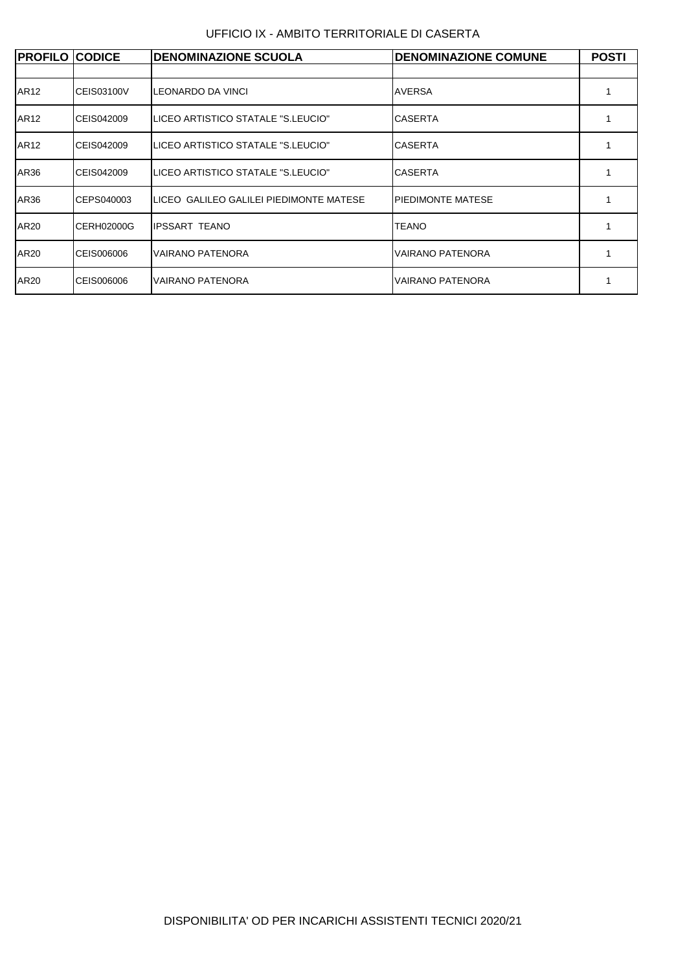UFFICIO IX - AMBITO TERRITORIALE DI CASERTA

| <b>PROFILO CODICE</b> |                   | <b>DENOMINAZIONE SCUOLA</b>             | <b>DENOMINAZIONE COMUNE</b> | <b>POSTI</b> |
|-----------------------|-------------------|-----------------------------------------|-----------------------------|--------------|
|                       |                   |                                         |                             |              |
| AR12                  | <b>CEIS03100V</b> | LEONARDO DA VINCI                       | <b>AVERSA</b>               |              |
| AR12                  | CEIS042009        | LICEO ARTISTICO STATALE "S.LEUCIO"      | <b>CASERTA</b>              |              |
| AR12                  | CEIS042009        | LICEO ARTISTICO STATALE "S.LEUCIO"      | <b>CASERTA</b>              |              |
| AR36                  | CEIS042009        | LICEO ARTISTICO STATALE "S.LEUCIO"      | <b>CASERTA</b>              |              |
| AR36                  | CEPS040003        | LICEO GALILEO GALILEI PIEDIMONTE MATESE | <b>PIEDIMONTE MATESE</b>    |              |
| AR20                  | CERH02000G        | <b>IPSSART TEANO</b>                    | <b>TEANO</b>                |              |
| AR20                  | CEIS006006        | <b>VAIRANO PATENORA</b>                 | VAIRANO PATENORA            |              |
| AR20                  | CEIS006006        | <b>VAIRANO PATENORA</b>                 | <b>VAIRANO PATENORA</b>     |              |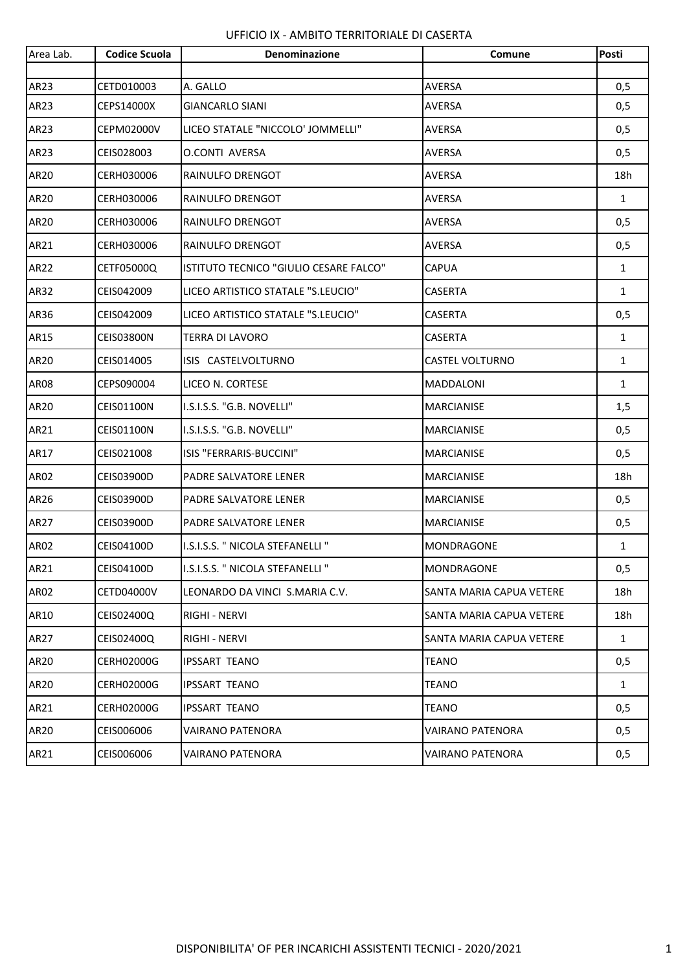| Area Lab.   | <b>Codice Scuola</b> | Denominazione                          | Comune                   | Posti        |
|-------------|----------------------|----------------------------------------|--------------------------|--------------|
| AR23        | CETD010003           | A. GALLO                               | <b>AVERSA</b>            | 0,5          |
| AR23        | CEPS14000X           | <b>GIANCARLO SIANI</b>                 | AVERSA                   | 0,5          |
| AR23        | <b>CEPM02000V</b>    | LICEO STATALE "NICCOLO' JOMMELLI"      | <b>AVERSA</b>            | 0,5          |
| AR23        | CEIS028003           | O.CONTI AVERSA                         | <b>AVERSA</b>            | 0,5          |
| AR20        | CERH030006           | RAINULFO DRENGOT                       | <b>AVERSA</b>            | 18h          |
| AR20        | CERH030006           | RAINULFO DRENGOT                       | <b>AVERSA</b>            | $\mathbf{1}$ |
| AR20        | CERH030006           | RAINULFO DRENGOT                       | <b>AVERSA</b>            | 0,5          |
| AR21        | CERH030006           | RAINULFO DRENGOT                       | <b>AVERSA</b>            | 0,5          |
| AR22        | CETF05000Q           | ISTITUTO TECNICO "GIULIO CESARE FALCO" | <b>CAPUA</b>             | $\mathbf{1}$ |
| AR32        | CEIS042009           | LICEO ARTISTICO STATALE "S.LEUCIO"     | <b>CASERTA</b>           | $\mathbf{1}$ |
| AR36        | CEIS042009           | LICEO ARTISTICO STATALE "S.LEUCIO"     | <b>CASERTA</b>           | 0,5          |
| AR15        | <b>CEIS03800N</b>    | <b>TERRA DI LAVORO</b>                 | <b>CASERTA</b>           | $\mathbf{1}$ |
| AR20        | CEIS014005           | ISIS CASTELVOLTURNO                    | <b>CASTEL VOLTURNO</b>   | $\mathbf{1}$ |
| <b>AR08</b> | CEPS090004           | LICEO N. CORTESE                       | <b>MADDALONI</b>         | $\mathbf{1}$ |
| AR20        | CEIS01100N           | I.S.I.S.S. "G.B. NOVELLI"              | <b>MARCIANISE</b>        | 1,5          |
| AR21        | CEIS01100N           | I.S.I.S.S. "G.B. NOVELLI"              | <b>MARCIANISE</b>        | 0,5          |
| AR17        | CEIS021008           | ISIS "FERRARIS-BUCCINI"                | <b>MARCIANISE</b>        | 0,5          |
| AR02        | CEIS03900D           | PADRE SALVATORE LENER                  | MARCIANISE               | 18h          |
| AR26        | CEIS03900D           | PADRE SALVATORE LENER                  | <b>MARCIANISE</b>        | 0,5          |
| AR27        | CEIS03900D           | PADRE SALVATORE LENER                  | <b>MARCIANISE</b>        | 0,5          |
| <b>AR02</b> | CEIS04100D           | I.S.I.S.S. " NICOLA STEFANELLI "       | MONDRAGONE               | $\mathbf{1}$ |
| AR21        | CEIS04100D           | I.S.I.S.S. " NICOLA STEFANELLI "       | MONDRAGONE               | 0,5          |
| AR02        | <b>CETD04000V</b>    | LEONARDO DA VINCI S.MARIA C.V.         | SANTA MARIA CAPUA VETERE | 18h          |
| AR10        | CEIS02400Q           | RIGHI - NERVI                          | SANTA MARIA CAPUA VETERE | 18h          |
| AR27        | CEIS02400Q           | RIGHI - NERVI                          | SANTA MARIA CAPUA VETERE | $\mathbf{1}$ |
| AR20        | <b>CERH02000G</b>    | <b>IPSSART TEANO</b>                   | <b>TEANO</b>             | 0,5          |
| AR20        | <b>CERH02000G</b>    | IPSSART TEANO                          | <b>TEANO</b>             | $\mathbf{1}$ |
| AR21        | <b>CERH02000G</b>    | <b>IPSSART TEANO</b>                   | <b>TEANO</b>             | 0,5          |
| <b>AR20</b> | CEIS006006           | <b>VAIRANO PATENORA</b>                | VAIRANO PATENORA         | 0,5          |
| AR21        | CEIS006006           | VAIRANO PATENORA                       | VAIRANO PATENORA         | 0,5          |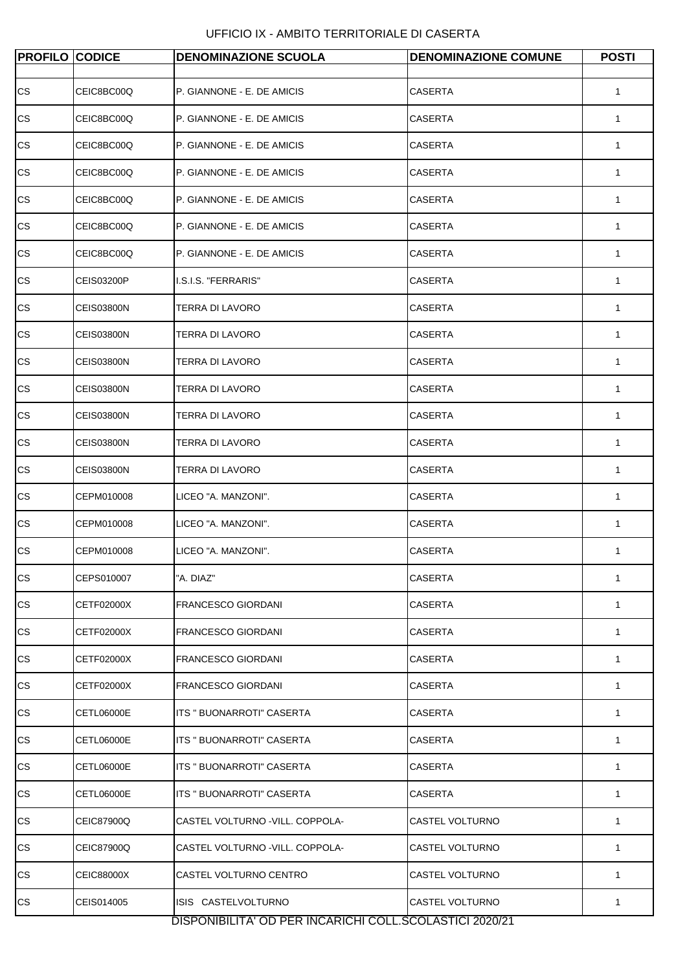| <b>PROFILO CODICE</b> |                   | <b>DENOMINAZIONE SCUOLA</b>                             | <b>DENOMINAZIONE COMUNE</b> | <b>POSTI</b> |
|-----------------------|-------------------|---------------------------------------------------------|-----------------------------|--------------|
|                       |                   |                                                         |                             |              |
| CS                    | CEIC8BC00Q        | P. GIANNONE - E. DE AMICIS                              | <b>CASERTA</b>              | 1            |
| CS                    | CEIC8BC00Q        | P. GIANNONE - E. DE AMICIS                              | CASERTA                     | 1            |
| CS                    | CEIC8BC00Q        | P. GIANNONE - E. DE AMICIS                              | <b>CASERTA</b>              | $\mathbf{1}$ |
| CS                    | CEIC8BC00Q        | P. GIANNONE - E. DE AMICIS                              | CASERTA                     | 1            |
| CS                    | CEIC8BC00Q        | P. GIANNONE - E. DE AMICIS                              | <b>CASERTA</b>              | 1            |
| CS                    | CEIC8BC00Q        | P. GIANNONE - E. DE AMICIS                              | CASERTA                     | 1            |
| CS                    | CEIC8BC00Q        | P. GIANNONE - E. DE AMICIS                              | <b>CASERTA</b>              | 1            |
| CS                    | <b>CEIS03200P</b> | I.S.I.S. "FERRARIS"                                     | <b>CASERTA</b>              | 1            |
| CS                    | <b>CEIS03800N</b> | TERRA DI LAVORO                                         | <b>CASERTA</b>              | 1            |
| CS                    | <b>CEIS03800N</b> | TERRA DI LAVORO                                         | <b>CASERTA</b>              | 1            |
| CS                    | <b>CEIS03800N</b> | TERRA DI LAVORO                                         | <b>CASERTA</b>              | 1            |
| CS                    | <b>CEIS03800N</b> | TERRA DI LAVORO                                         | CASERTA                     | 1            |
| CS.                   | <b>CEIS03800N</b> | TERRA DI LAVORO                                         | CASERTA                     | 1            |
| CS                    | <b>CEIS03800N</b> | TERRA DI LAVORO                                         | <b>CASERTA</b>              | 1            |
| CS                    | <b>CEIS03800N</b> | TERRA DI LAVORO                                         | CASERTA                     | 1            |
| CS                    | CEPM010008        | LICEO "A. MANZONI".                                     | <b>CASERTA</b>              | 1            |
| CS.                   | CEPM010008        | LICEO "A. MANZONI".                                     | CASERTA                     | 1            |
| CS                    | CEPM010008        | LICEO "A. MANZONI".                                     | <b>CASERTA</b>              | 1            |
| CS                    | CEPS010007        | 'A. DIAZ"                                               | <b>CASERTA</b>              | 1            |
| CS                    | CETF02000X        | <b>FRANCESCO GIORDANI</b>                               | CASERTA                     | 1            |
| CS                    | CETF02000X        | <b>FRANCESCO GIORDANI</b>                               | <b>CASERTA</b>              | 1            |
| CS.                   | CETF02000X        | <b>FRANCESCO GIORDANI</b>                               | CASERTA                     | $\mathbf{1}$ |
| CS.                   | CETF02000X        | <b>FRANCESCO GIORDANI</b>                               | CASERTA                     | 1            |
| CS                    | CETL06000E        | ITS " BUONARROTI" CASERTA                               | <b>CASERTA</b>              | 1            |
| CS                    | CETL06000E        | ITS " BUONARROTI" CASERTA                               | CASERTA                     | $\mathbf{1}$ |
| CS.                   | CETL06000E        | ITS " BUONARROTI" CASERTA                               | CASERTA                     | 1            |
| СS                    | CETL06000E        | ITS " BUONARROTI" CASERTA                               | CASERTA                     | 1            |
| CS.                   | CEIC87900Q        | CASTEL VOLTURNO -VILL. COPPOLA-                         | CASTEL VOLTURNO             | 1            |
| CS                    | CEIC87900Q        | CASTEL VOLTURNO -VILL. COPPOLA-                         | CASTEL VOLTURNO             | 1            |
| CS.                   | CEIC88000X        | CASTEL VOLTURNO CENTRO                                  | CASTEL VOLTURNO             | 1            |
| CS                    | CEIS014005        | ISIS CASTELVOLTURNO                                     | CASTEL VOLTURNO             | 1            |
|                       |                   | DISPONIBILITA' OD PER INCARICHI COLL.SCOLASTICI 2020/21 |                             |              |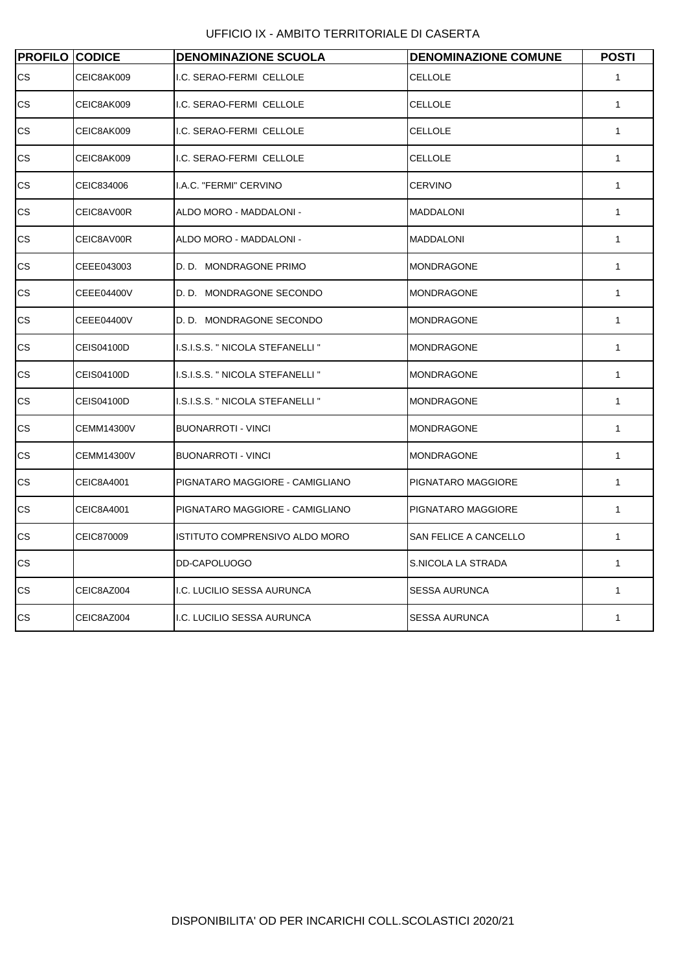UFFICIO IX - AMBITO TERRITORIALE DI CASERTA

| <b>PROFILO CODICE</b> |                   | <b>DENOMINAZIONE SCUOLA</b>      | <b>DENOMINAZIONE COMUNE</b> | <b>POSTI</b> |
|-----------------------|-------------------|----------------------------------|-----------------------------|--------------|
| CS.                   | CEIC8AK009        | I.C. SERAO-FERMI CELLOLE         | <b>CELLOLE</b>              | $\mathbf{1}$ |
| $\mathsf{CS}\xspace$  | CEIC8AK009        | I.C. SERAO-FERMI CELLOLE         | CELLOLE                     | 1            |
| СS                    | CEIC8AK009        | I.C. SERAO-FERMI CELLOLE         | CELLOLE                     | 1            |
| СS                    | CEIC8AK009        | I.C. SERAO-FERMI CELLOLE         | CELLOLE                     | 1            |
| СS                    | CEIC834006        | I.A.C. "FERMI" CERVINO           | <b>CERVINO</b>              | $\mathbf{1}$ |
| СS                    | CEIC8AV00R        | ALDO MORO - MADDALONI -          | <b>MADDALONI</b>            | $\mathbf{1}$ |
| СS                    | CEIC8AV00R        | ALDO MORO - MADDALONI -          | <b>MADDALONI</b>            | 1            |
| СS                    | CEEE043003        | D. D. MONDRAGONE PRIMO           | <b>MONDRAGONE</b>           | 1            |
| CS                    | CEEE04400V        | D. D. MONDRAGONE SECONDO         | <b>MONDRAGONE</b>           | 1            |
| CS                    | CEEE04400V        | D. D. MONDRAGONE SECONDO         | <b>MONDRAGONE</b>           | $\mathbf{1}$ |
| CS                    | CEIS04100D        | I.S.I.S.S. " NICOLA STEFANELLI " | <b>MONDRAGONE</b>           | 1            |
| CS                    | CEIS04100D        | I.S.I.S.S. " NICOLA STEFANELLI " | <b>MONDRAGONE</b>           | 1            |
| СS                    | CEIS04100D        | I.S.I.S.S. " NICOLA STEFANELLI " | <b>MONDRAGONE</b>           | 1            |
| СS                    | <b>CEMM14300V</b> | <b>BUONARROTI - VINCI</b>        | <b>MONDRAGONE</b>           | $\mathbf{1}$ |
| СS                    | <b>CEMM14300V</b> | <b>BUONARROTI - VINCI</b>        | <b>MONDRAGONE</b>           | $\mathbf{1}$ |
| СS                    | CEIC8A4001        | PIGNATARO MAGGIORE - CAMIGLIANO  | PIGNATARO MAGGIORE          | 1            |
| СS                    | CEIC8A4001        | PIGNATARO MAGGIORE - CAMIGLIANO  | PIGNATARO MAGGIORE          | $\mathbf{1}$ |
| СS                    | CEIC870009        | ISTITUTO COMPRENSIVO ALDO MORO   | SAN FELICE A CANCELLO       | $\mathbf{1}$ |
| СS                    |                   | DD-CAPOLUOGO                     | S.NICOLA LA STRADA          | $\mathbf{1}$ |
| $\mathsf{CS}\xspace$  | CEIC8AZ004        | I.C. LUCILIO SESSA AURUNCA       | <b>SESSA AURUNCA</b>        | 1            |
| СS                    | CEIC8AZ004        | I.C. LUCILIO SESSA AURUNCA       | <b>SESSA AURUNCA</b>        | 1            |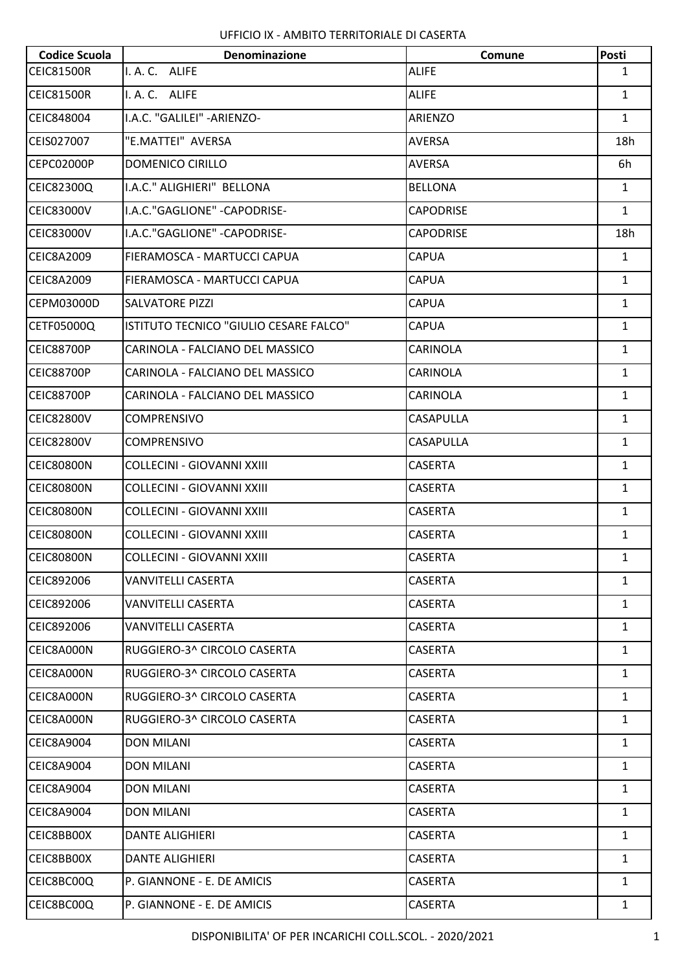| <b>Codice Scuola</b> | <b>Denominazione</b>                   | Comune           | <b>Posti</b> |
|----------------------|----------------------------------------|------------------|--------------|
| <b>CEIC81500R</b>    | I. A. C. ALIFE                         | <b>ALIFE</b>     | $\mathbf{1}$ |
| <b>CEIC81500R</b>    | I. A. C. ALIFE                         | <b>ALIFE</b>     | $\mathbf{1}$ |
| CEIC848004           | I.A.C. "GALILEI" - ARIENZO-            | ARIENZO          | $\mathbf{1}$ |
| CEIS027007           | "E.MATTEI" AVERSA                      | AVERSA           | 18h          |
| <b>CEPC02000P</b>    | <b>DOMENICO CIRILLO</b>                | <b>AVERSA</b>    | 6h           |
| CEIC82300Q           | I.A.C." ALIGHIERI" BELLONA             | <b>BELLONA</b>   | $\mathbf{1}$ |
| <b>CEIC83000V</b>    | I.A.C."GAGLIONE" - CAPODRISE-          | <b>CAPODRISE</b> | $\mathbf{1}$ |
| <b>CEIC83000V</b>    | I.A.C."GAGLIONE" - CAPODRISE-          | <b>CAPODRISE</b> | 18h          |
| CEIC8A2009           | FIERAMOSCA - MARTUCCI CAPUA            | <b>CAPUA</b>     | $\mathbf{1}$ |
| CEIC8A2009           | FIERAMOSCA - MARTUCCI CAPUA            | CAPUA            | $\mathbf{1}$ |
| CEPM03000D           | <b>SALVATORE PIZZI</b>                 | <b>CAPUA</b>     | $\mathbf{1}$ |
| CETF05000Q           | ISTITUTO TECNICO "GIULIO CESARE FALCO" | <b>CAPUA</b>     | $\mathbf{1}$ |
| <b>CEIC88700P</b>    | CARINOLA - FALCIANO DEL MASSICO        | CARINOLA         | $\mathbf{1}$ |
| <b>CEIC88700P</b>    | CARINOLA - FALCIANO DEL MASSICO        | <b>CARINOLA</b>  | $\mathbf{1}$ |
| <b>CEIC88700P</b>    | CARINOLA - FALCIANO DEL MASSICO        | CARINOLA         | $\mathbf{1}$ |
| <b>CEIC82800V</b>    | <b>COMPRENSIVO</b>                     | <b>CASAPULLA</b> | $\mathbf{1}$ |
| <b>CEIC82800V</b>    | <b>COMPRENSIVO</b>                     | <b>CASAPULLA</b> | $\mathbf{1}$ |
| <b>CEIC80800N</b>    | <b>COLLECINI - GIOVANNI XXIII</b>      | <b>CASERTA</b>   | $\mathbf{1}$ |
| <b>CEIC80800N</b>    | COLLECINI - GIOVANNI XXIII             | <b>CASERTA</b>   | $\mathbf{1}$ |
| <b>CEIC80800N</b>    | COLLECINI - GIOVANNI XXIII             | <b>CASERTA</b>   | $\mathbf{1}$ |
| <b>CEIC80800N</b>    | <b>COLLECINI - GIOVANNI XXIII</b>      | <b>CASERTA</b>   | $\mathbf{1}$ |
| CEIC80800N           | COLLECINI - GIOVANNI XXIII             | <b>CASERTA</b>   | $\mathbf{1}$ |
| CEIC892006           | VANVITELLI CASERTA                     | <b>CASERTA</b>   | $\mathbf{1}$ |
| CEIC892006           | <b>VANVITELLI CASERTA</b>              | <b>CASERTA</b>   | $\mathbf{1}$ |
| CEIC892006           | <b>VANVITELLI CASERTA</b>              | CASERTA          | $\mathbf{1}$ |
| CEIC8A000N           | RUGGIERO-3^ CIRCOLO CASERTA            | <b>CASERTA</b>   | $\mathbf{1}$ |
| CEIC8A000N           | RUGGIERO-3^ CIRCOLO CASERTA            | <b>CASERTA</b>   | $\mathbf{1}$ |
| CEIC8A000N           | RUGGIERO-3^ CIRCOLO CASERTA            | CASERTA          | $\mathbf{1}$ |
| CEIC8A000N           | RUGGIERO-3^ CIRCOLO CASERTA            | <b>CASERTA</b>   | $\mathbf{1}$ |
| <b>CEIC8A9004</b>    | <b>DON MILANI</b>                      | <b>CASERTA</b>   | $\mathbf{1}$ |
| CEIC8A9004           | <b>DON MILANI</b>                      | <b>CASERTA</b>   | $\mathbf{1}$ |
| <b>CEIC8A9004</b>    | <b>DON MILANI</b>                      | <b>CASERTA</b>   | $\mathbf{1}$ |
| <b>CEIC8A9004</b>    | <b>DON MILANI</b>                      | <b>CASERTA</b>   | $\mathbf{1}$ |
| CEIC8BB00X           | <b>DANTE ALIGHIERI</b>                 | <b>CASERTA</b>   | $\mathbf{1}$ |
| CEIC8BB00X           | <b>DANTE ALIGHIERI</b>                 | <b>CASERTA</b>   | $\mathbf{1}$ |
| CEIC8BC00Q           | P. GIANNONE - E. DE AMICIS             | CASERTA          | $\mathbf{1}$ |
| CEIC8BC00Q           | P. GIANNONE - E. DE AMICIS             | CASERTA          | $\mathbf{1}$ |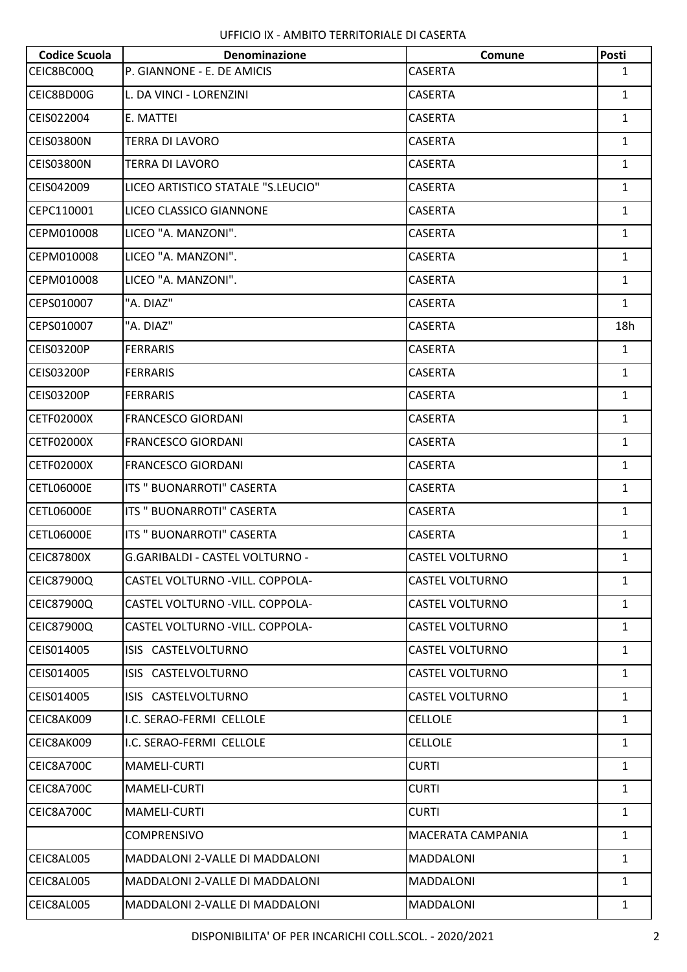| <b>Codice Scuola</b> | Denominazione                           | Comune                 | <b>Posti</b> |
|----------------------|-----------------------------------------|------------------------|--------------|
| CEIC8BC00Q           | P. GIANNONE - E. DE AMICIS              | <b>CASERTA</b>         | $\mathbf{1}$ |
| CEIC8BD00G           | L. DA VINCI - LORENZINI                 | CASERTA                | $\mathbf{1}$ |
| CEIS022004           | E. MATTEI                               | <b>CASERTA</b>         | $\mathbf{1}$ |
| <b>CEIS03800N</b>    | <b>TERRA DI LAVORO</b>                  | CASERTA                | $\mathbf{1}$ |
| <b>CEIS03800N</b>    | <b>TERRA DI LAVORO</b>                  | CASERTA                | $\mathbf{1}$ |
| CEIS042009           | LICEO ARTISTICO STATALE "S.LEUCIO"      | <b>CASERTA</b>         | $\mathbf{1}$ |
| CEPC110001           | LICEO CLASSICO GIANNONE                 | CASERTA                | $\mathbf{1}$ |
| CEPM010008           | LICEO "A. MANZONI".                     | CASERTA                | $\mathbf{1}$ |
| CEPM010008           | LICEO "A. MANZONI".                     | <b>CASERTA</b>         | $\mathbf{1}$ |
| CEPM010008           | LICEO "A. MANZONI".                     | CASERTA                | $\mathbf{1}$ |
| CEPS010007           | "A. DIAZ"                               | <b>CASERTA</b>         | 1            |
| CEPS010007           | "A. DIAZ"                               | <b>CASERTA</b>         | 18h          |
| <b>CEIS03200P</b>    | <b>FERRARIS</b>                         | CASERTA                | $\mathbf{1}$ |
| <b>CEIS03200P</b>    | <b>FERRARIS</b>                         | <b>CASERTA</b>         | $\mathbf{1}$ |
| <b>CEIS03200P</b>    | <b>FERRARIS</b>                         | <b>CASERTA</b>         | $\mathbf{1}$ |
| <b>CETF02000X</b>    | <b>FRANCESCO GIORDANI</b>               | CASERTA                | $\mathbf{1}$ |
| <b>CETF02000X</b>    | <b>FRANCESCO GIORDANI</b>               | CASERTA                | $\mathbf{1}$ |
| <b>CETF02000X</b>    | <b>FRANCESCO GIORDANI</b>               | <b>CASERTA</b>         | $\mathbf{1}$ |
| <b>CETL06000E</b>    | ITS " BUONARROTI" CASERTA               | CASERTA                | $\mathbf{1}$ |
| <b>CETL06000E</b>    | ITS " BUONARROTI" CASERTA               | CASERTA                | $\mathbf{1}$ |
| <b>CETL06000E</b>    | ITS " BUONARROTI" CASERTA               | <b>CASERTA</b>         | $\mathbf{1}$ |
| <b>CEIC87800X</b>    | G.GARIBALDI - CASTEL VOLTURNO -         | <b>CASTEL VOLTURNO</b> | $\mathbf{1}$ |
| <b>CEIC87900Q</b>    | <b>CASTEL VOLTURNO - VILL. COPPOLA-</b> | <b>CASTEL VOLTURNO</b> | $\mathbf{1}$ |
| <b>CEIC87900Q</b>    | CASTEL VOLTURNO - VILL. COPPOLA-        | <b>CASTEL VOLTURNO</b> | $\mathbf{1}$ |
| <b>CEIC87900Q</b>    | CASTEL VOLTURNO - VILL. COPPOLA-        | CASTEL VOLTURNO        | $\mathbf{1}$ |
| CEIS014005           | ISIS CASTELVOLTURNO                     | CASTEL VOLTURNO        | $\mathbf{1}$ |
| CEIS014005           | ISIS CASTELVOLTURNO                     | <b>CASTEL VOLTURNO</b> | $\mathbf{1}$ |
| CEIS014005           | ISIS CASTELVOLTURNO                     | <b>CASTEL VOLTURNO</b> | $\mathbf{1}$ |
| CEIC8AK009           | I.C. SERAO-FERMI CELLOLE                | CELLOLE                | $\mathbf{1}$ |
| CEIC8AK009           | I.C. SERAO-FERMI CELLOLE                | <b>CELLOLE</b>         | $\mathbf{1}$ |
| CEIC8A700C           | MAMELI-CURTI                            | <b>CURTI</b>           | $\mathbf{1}$ |
| CEIC8A700C           | <b>MAMELI-CURTI</b>                     | <b>CURTI</b>           | $\mathbf{1}$ |
| CEIC8A700C           | MAMELI-CURTI                            | <b>CURTI</b>           | $\mathbf{1}$ |
|                      | <b>COMPRENSIVO</b>                      | MACERATA CAMPANIA      | $\mathbf{1}$ |
| CEIC8AL005           | <b>MADDALONI 2-VALLE DI MADDALONI</b>   | <b>MADDALONI</b>       | $\mathbf{1}$ |
| CEIC8AL005           | MADDALONI 2-VALLE DI MADDALONI          | <b>MADDALONI</b>       | $\mathbf{1}$ |
| CEIC8AL005           | MADDALONI 2-VALLE DI MADDALONI          | MADDALONI              | $\mathbf{1}$ |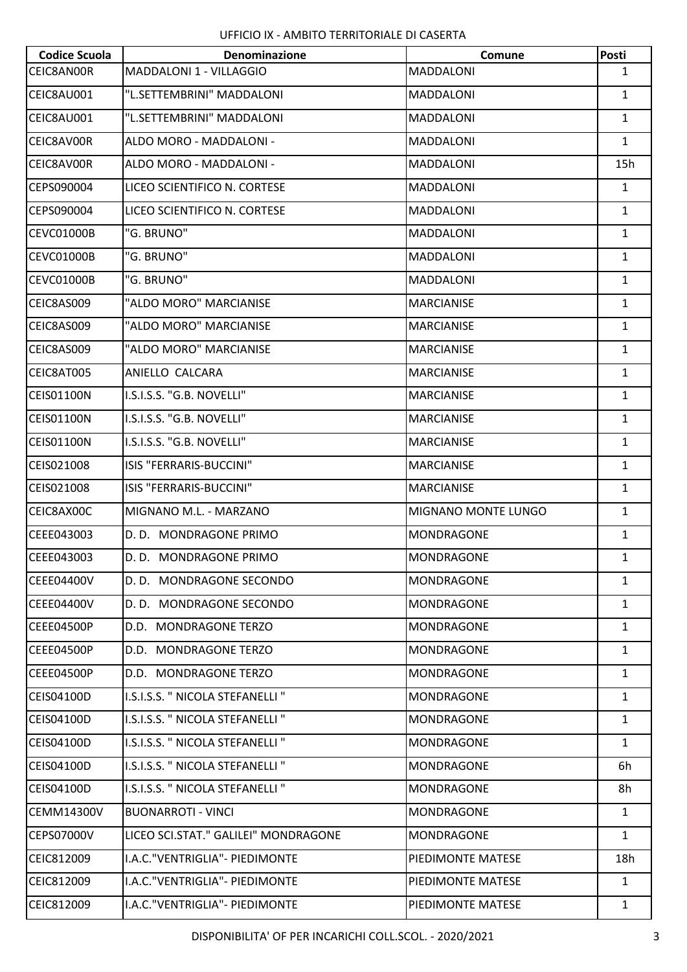| <b>Codice Scuola</b> | <b>Denominazione</b>                 | Comune              | Posti        |
|----------------------|--------------------------------------|---------------------|--------------|
| CEIC8AN00R           | MADDALONI 1 - VILLAGGIO              | <b>MADDALONI</b>    | 1            |
| CEIC8AU001           | "L.SETTEMBRINI" MADDALONI            | <b>MADDALONI</b>    | $\mathbf{1}$ |
| CEIC8AU001           | "L.SETTEMBRINI" MADDALONI            | <b>MADDALONI</b>    | $\mathbf{1}$ |
| CEIC8AV00R           | ALDO MORO - MADDALONI -              | <b>MADDALONI</b>    | $\mathbf{1}$ |
| CEIC8AV00R           | ALDO MORO - MADDALONI -              | <b>MADDALONI</b>    | 15h          |
| CEPS090004           | LICEO SCIENTIFICO N. CORTESE         | <b>MADDALONI</b>    | $\mathbf{1}$ |
| CEPS090004           | LICEO SCIENTIFICO N. CORTESE         | <b>MADDALONI</b>    | $\mathbf{1}$ |
| CEVC01000B           | "G. BRUNO"                           | <b>MADDALONI</b>    | $\mathbf{1}$ |
| CEVC01000B           | "G. BRUNO"                           | <b>MADDALONI</b>    | $\mathbf{1}$ |
| CEVC01000B           | "G. BRUNO"                           | <b>MADDALONI</b>    | $\mathbf{1}$ |
| CEIC8AS009           | "ALDO MORO" MARCIANISE               | <b>MARCIANISE</b>   | $\mathbf{1}$ |
| CEIC8AS009           | "ALDO MORO" MARCIANISE               | <b>MARCIANISE</b>   | 1            |
| CEIC8AS009           | "ALDO MORO" MARCIANISE               | <b>MARCIANISE</b>   | $\mathbf{1}$ |
| CEIC8AT005           | ANIELLO CALCARA                      | <b>MARCIANISE</b>   | $\mathbf{1}$ |
| <b>CEIS01100N</b>    | I.S.I.S.S. "G.B. NOVELLI"            | <b>MARCIANISE</b>   | 1            |
| <b>CEIS01100N</b>    | I.S.I.S.S. "G.B. NOVELLI"            | <b>MARCIANISE</b>   | $\mathbf{1}$ |
| <b>CEIS01100N</b>    | I.S.I.S.S. "G.B. NOVELLI"            | <b>MARCIANISE</b>   | $\mathbf{1}$ |
| CEIS021008           | ISIS "FERRARIS-BUCCINI"              | <b>MARCIANISE</b>   | $\mathbf{1}$ |
| CEIS021008           | ISIS "FERRARIS-BUCCINI"              | <b>MARCIANISE</b>   | $\mathbf{1}$ |
| CEIC8AX00C           | MIGNANO M.L. - MARZANO               | MIGNANO MONTE LUNGO | $\mathbf{1}$ |
| CEEE043003           | D. D. MONDRAGONE PRIMO               | <b>MONDRAGONE</b>   | 1            |
| CEEE043003           | D. D. MONDRAGONE PRIMO               | <b>MONDRAGONE</b>   | $\mathbf{1}$ |
| CEEE04400V           | D. D. MONDRAGONE SECONDO             | <b>MONDRAGONE</b>   | $\mathbf{1}$ |
| CEEE04400V           | D. D. MONDRAGONE SECONDO             | MONDRAGONE          | $\mathbf{1}$ |
| CEEE04500P           | D.D. MONDRAGONE TERZO                | <b>MONDRAGONE</b>   | $\mathbf{1}$ |
| CEEE04500P           | D.D. MONDRAGONE TERZO                | <b>MONDRAGONE</b>   | $\mathbf{1}$ |
| CEEE04500P           | D.D. MONDRAGONE TERZO                | MONDRAGONE          | $\mathbf{1}$ |
| CEIS04100D           | I.S.I.S.S. " NICOLA STEFANELLI "     | <b>MONDRAGONE</b>   | $\mathbf{1}$ |
| CEIS04100D           | I.S.I.S.S. " NICOLA STEFANELLI "     | <b>MONDRAGONE</b>   | $\mathbf{1}$ |
| <b>CEIS04100D</b>    | I.S.I.S.S. " NICOLA STEFANELLI "     | MONDRAGONE          | $\mathbf{1}$ |
| CEIS04100D           | I.S.I.S.S. " NICOLA STEFANELLI "     | <b>MONDRAGONE</b>   | 6h           |
| CEIS04100D           | I.S.I.S.S. " NICOLA STEFANELLI "     | <b>MONDRAGONE</b>   | 8h           |
| <b>CEMM14300V</b>    | <b>BUONARROTI - VINCI</b>            | MONDRAGONE          | $\mathbf{1}$ |
| <b>CEPS07000V</b>    | LICEO SCI.STAT." GALILEI" MONDRAGONE | <b>MONDRAGONE</b>   | $\mathbf{1}$ |
| CEIC812009           | I.A.C. "VENTRIGLIA" - PIEDIMONTE     | PIEDIMONTE MATESE   | 18h          |
| CEIC812009           | I.A.C. "VENTRIGLIA" - PIEDIMONTE     | PIEDIMONTE MATESE   | $\mathbf{1}$ |
| CEIC812009           | I.A.C."VENTRIGLIA" - PIEDIMONTE      | PIEDIMONTE MATESE   | $\mathbf{1}$ |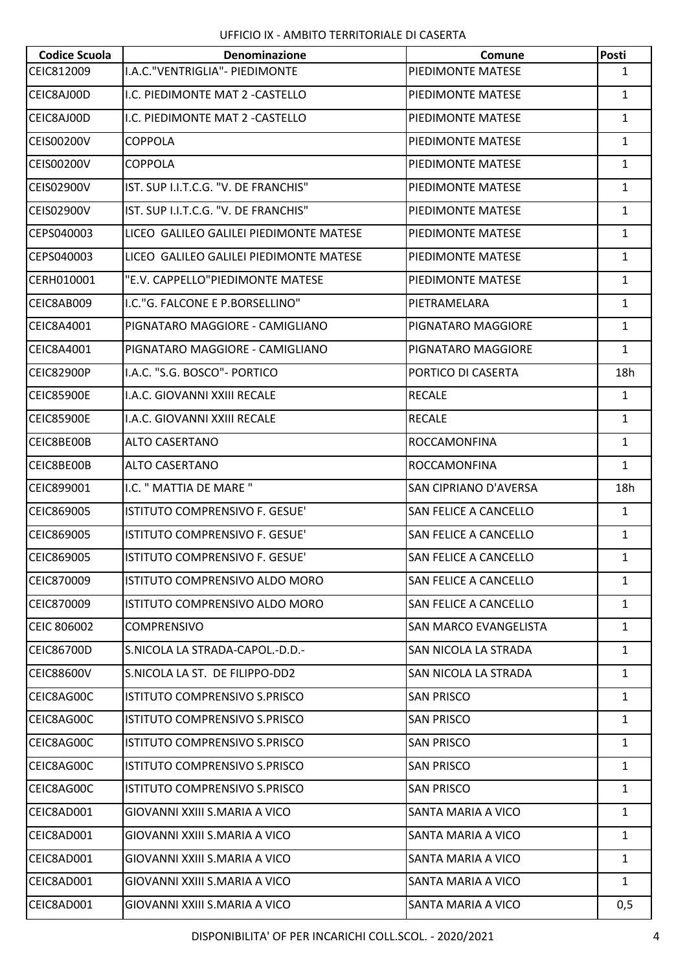| <b>Codice Scuola</b> | <b>Denominazione</b>                    | Comune                       | Posti        |
|----------------------|-----------------------------------------|------------------------------|--------------|
| CEIC812009           | I.A.C. "VENTRIGLIA" - PIEDIMONTE        | PIEDIMONTE MATESE            | $\mathbf{1}$ |
| CEIC8AJ00D           | I.C. PIEDIMONTE MAT 2 - CASTELLO        | PIEDIMONTE MATESE            | $\mathbf{1}$ |
| CEIC8AJ00D           | I.C. PIEDIMONTE MAT 2 - CASTELLO        | PIEDIMONTE MATESE            | $\mathbf{1}$ |
| <b>CEIS00200V</b>    | <b>COPPOLA</b>                          | PIEDIMONTE MATESE            | $\mathbf{1}$ |
| <b>CEIS00200V</b>    | <b>COPPOLA</b>                          | PIEDIMONTE MATESE            | 1            |
| <b>CEIS02900V</b>    | IST. SUP I.I.T.C.G. "V. DE FRANCHIS"    | PIEDIMONTE MATESE            | $\mathbf{1}$ |
| <b>CEIS02900V</b>    | IST. SUP I.I.T.C.G. "V. DE FRANCHIS"    | PIEDIMONTE MATESE            | $\mathbf{1}$ |
| CEPS040003           | LICEO GALILEO GALILEI PIEDIMONTE MATESE | PIEDIMONTE MATESE            | $\mathbf{1}$ |
| CEPS040003           | LICEO GALILEO GALILEI PIEDIMONTE MATESE | PIEDIMONTE MATESE            | $\mathbf{1}$ |
| CERH010001           | "E.V. CAPPELLO"PIEDIMONTE MATESE        | PIEDIMONTE MATESE            | $\mathbf{1}$ |
| CEIC8AB009           | I.C."G. FALCONE E P.BORSELLINO"         | PIETRAMELARA                 | $\mathbf{1}$ |
| <b>CEIC8A4001</b>    | PIGNATARO MAGGIORE - CAMIGLIANO         | PIGNATARO MAGGIORE           | $\mathbf{1}$ |
| <b>CEIC8A4001</b>    | PIGNATARO MAGGIORE - CAMIGLIANO         | PIGNATARO MAGGIORE           | $\mathbf{1}$ |
| CEIC82900P           | I.A.C. "S.G. BOSCO"- PORTICO            | PORTICO DI CASERTA           | 18h          |
| CEIC85900E           | I.A.C. GIOVANNI XXIII RECALE            | <b>RECALE</b>                | $\mathbf{1}$ |
| <b>CEIC85900E</b>    | I.A.C. GIOVANNI XXIII RECALE            | <b>RECALE</b>                | $\mathbf{1}$ |
| CEIC8BE00B           | <b>ALTO CASERTANO</b>                   | ROCCAMONFINA                 | $\mathbf{1}$ |
| CEIC8BE00B           | <b>ALTO CASERTANO</b>                   | <b>ROCCAMONFINA</b>          | $\mathbf{1}$ |
| CEIC899001           | I.C. " MATTIA DE MARE "                 | SAN CIPRIANO D'AVERSA        | 18h          |
| CEIC869005           | ISTITUTO COMPRENSIVO F. GESUE'          | <b>SAN FELICE A CANCELLO</b> | $\mathbf{1}$ |
| CEIC869005           | ISTITUTO COMPRENSIVO F. GESUE'          | <b>SAN FELICE A CANCELLO</b> | $\mathbf{1}$ |
| <b>CEIC869005</b>    | ISTITUTO COMPRENSIVO F. GESUE'          | <b>SAN FELICE A CANCELLO</b> | 1            |
| CEIC870009           | <b>ISTITUTO COMPRENSIVO ALDO MORO</b>   | <b>SAN FELICE A CANCELLO</b> | $\mathbf{1}$ |
| CEIC870009           | ISTITUTO COMPRENSIVO ALDO MORO          | SAN FELICE A CANCELLO        | $\mathbf{1}$ |
| <b>CEIC 806002</b>   | <b>COMPRENSIVO</b>                      | SAN MARCO EVANGELISTA        | $\mathbf{1}$ |
| <b>CEIC86700D</b>    | S.NICOLA LA STRADA-CAPOL.-D.D.-         | SAN NICOLA LA STRADA         | $\mathbf{1}$ |
| <b>CEIC88600V</b>    | S.NICOLA LA ST. DE FILIPPO-DD2          | SAN NICOLA LA STRADA         | $\mathbf{1}$ |
| CEIC8AG00C           | ISTITUTO COMPRENSIVO S.PRISCO           | <b>SAN PRISCO</b>            | $\mathbf{1}$ |
| CEIC8AG00C           | <b>ISTITUTO COMPRENSIVO S.PRISCO</b>    | <b>SAN PRISCO</b>            | $\mathbf{1}$ |
| CEIC8AG00C           | ISTITUTO COMPRENSIVO S.PRISCO           | <b>SAN PRISCO</b>            | $\mathbf{1}$ |
| CEIC8AG00C           | ISTITUTO COMPRENSIVO S.PRISCO           | <b>SAN PRISCO</b>            | $\mathbf{1}$ |
| CEIC8AG00C           | ISTITUTO COMPRENSIVO S.PRISCO           | <b>SAN PRISCO</b>            | $\mathbf{1}$ |
| CEIC8AD001           | GIOVANNI XXIII S.MARIA A VICO           | SANTA MARIA A VICO           | $\mathbf{1}$ |
| CEIC8AD001           | GIOVANNI XXIII S.MARIA A VICO           | SANTA MARIA A VICO           | $\mathbf{1}$ |
| CEIC8AD001           | GIOVANNI XXIII S.MARIA A VICO           | SANTA MARIA A VICO           | $\mathbf{1}$ |
| CEIC8AD001           | GIOVANNI XXIII S.MARIA A VICO           | SANTA MARIA A VICO           | $\mathbf{1}$ |
| CEIC8AD001           | GIOVANNI XXIII S.MARIA A VICO           | SANTA MARIA A VICO           | 0,5          |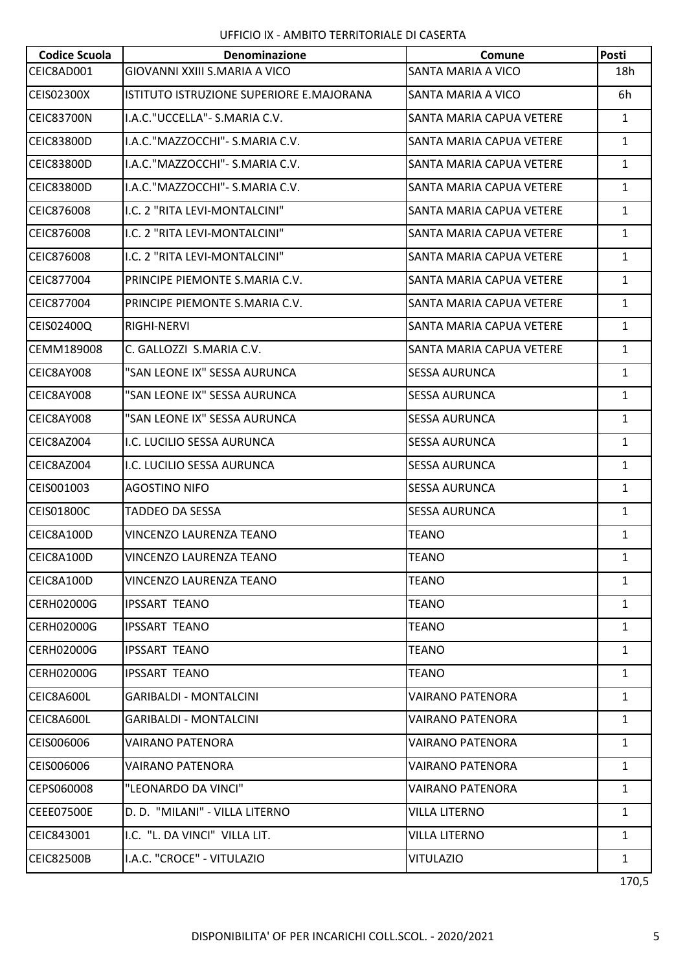| <b>Codice Scuola</b> | <b>Denominazione</b>                     | Comune                   | Posti        |
|----------------------|------------------------------------------|--------------------------|--------------|
| CEIC8AD001           | GIOVANNI XXIII S.MARIA A VICO            | SANTA MARIA A VICO       | 18h          |
| <b>CEIS02300X</b>    | ISTITUTO ISTRUZIONE SUPERIORE E.MAJORANA | SANTA MARIA A VICO       | 6h           |
| <b>CEIC83700N</b>    | I.A.C."UCCELLA" - S.MARIA C.V.           | SANTA MARIA CAPUA VETERE | $\mathbf{1}$ |
| <b>CEIC83800D</b>    | I.A.C."MAZZOCCHI"- S.MARIA C.V.          | SANTA MARIA CAPUA VETERE | $\mathbf{1}$ |
| <b>CEIC83800D</b>    | I.A.C."MAZZOCCHI"- S.MARIA C.V.          | SANTA MARIA CAPUA VETERE | $\mathbf{1}$ |
| CEIC83800D           | I.A.C."MAZZOCCHI"- S.MARIA C.V.          | SANTA MARIA CAPUA VETERE | $\mathbf{1}$ |
| CEIC876008           | I.C. 2 "RITA LEVI-MONTALCINI"            | SANTA MARIA CAPUA VETERE | $\mathbf{1}$ |
| CEIC876008           | I.C. 2 "RITA LEVI-MONTALCINI"            | SANTA MARIA CAPUA VETERE | $\mathbf{1}$ |
| CEIC876008           | I.C. 2 "RITA LEVI-MONTALCINI"            | SANTA MARIA CAPUA VETERE | $\mathbf{1}$ |
| CEIC877004           | PRINCIPE PIEMONTE S.MARIA C.V.           | SANTA MARIA CAPUA VETERE | $\mathbf{1}$ |
| CEIC877004           | PRINCIPE PIEMONTE S.MARIA C.V.           | SANTA MARIA CAPUA VETERE | $\mathbf{1}$ |
| CEIS02400Q           | RIGHI-NERVI                              | SANTA MARIA CAPUA VETERE | $\mathbf{1}$ |
| CEMM189008           | C. GALLOZZI S.MARIA C.V.                 | SANTA MARIA CAPUA VETERE | $\mathbf{1}$ |
| CEIC8AY008           | "SAN LEONE IX" SESSA AURUNCA             | <b>SESSA AURUNCA</b>     | $\mathbf{1}$ |
| CEIC8AY008           | "SAN LEONE IX" SESSA AURUNCA             | <b>SESSA AURUNCA</b>     | $\mathbf{1}$ |
| CEIC8AY008           | "SAN LEONE IX" SESSA AURUNCA             | <b>SESSA AURUNCA</b>     | $\mathbf{1}$ |
| CEIC8AZ004           | I.C. LUCILIO SESSA AURUNCA               | <b>SESSA AURUNCA</b>     | $\mathbf{1}$ |
| CEIC8AZ004           | I.C. LUCILIO SESSA AURUNCA               | <b>SESSA AURUNCA</b>     | $\mathbf{1}$ |
| CEIS001003           | <b>AGOSTINO NIFO</b>                     | <b>SESSA AURUNCA</b>     | $\mathbf{1}$ |
| <b>CEIS01800C</b>    | <b>TADDEO DA SESSA</b>                   | <b>SESSA AURUNCA</b>     | $\mathbf{1}$ |
| CEIC8A100D           | VINCENZO LAURENZA TEANO                  | <b>TEANO</b>             | $\mathbf{1}$ |
| CEIC8A100D           | VINCENZO LAURENZA TEANO                  | <b>TEANO</b>             | $\mathbf{1}$ |
| CEIC8A100D           | VINCENZO LAURENZA TEANO                  | <b>TEANO</b>             | $\mathbf{1}$ |
| <b>CERH02000G</b>    | <b>IPSSART TEANO</b>                     | <b>TEANO</b>             | $\mathbf{1}$ |
| <b>CERH02000G</b>    | <b>IPSSART TEANO</b>                     | <b>TEANO</b>             | $\mathbf{1}$ |
| <b>CERH02000G</b>    | <b>IPSSART TEANO</b>                     | <b>TEANO</b>             | $\mathbf{1}$ |
| <b>CERH02000G</b>    | <b>IPSSART TEANO</b>                     | <b>TEANO</b>             | $\mathbf{1}$ |
| CEIC8A600L           | <b>GARIBALDI - MONTALCINI</b>            | <b>VAIRANO PATENORA</b>  | $\mathbf{1}$ |
| CEIC8A600L           | <b>GARIBALDI - MONTALCINI</b>            | <b>VAIRANO PATENORA</b>  | $\mathbf{1}$ |
| CEIS006006           | VAIRANO PATENORA                         | VAIRANO PATENORA         | $\mathbf{1}$ |
| CEIS006006           | VAIRANO PATENORA                         | VAIRANO PATENORA         | $\mathbf{1}$ |
| CEPS060008           | "LEONARDO DA VINCI"                      | <b>VAIRANO PATENORA</b>  | $\mathbf{1}$ |
| <b>CEEE07500E</b>    | D. D. "MILANI" - VILLA LITERNO           | VILLA LITERNO            | $\mathbf{1}$ |
| CEIC843001           | I.C. "L. DA VINCI" VILLA LIT.            | <b>VILLA LITERNO</b>     | $\mathbf{1}$ |
| <b>CEIC82500B</b>    | I.A.C. "CROCE" - VITULAZIO               | <b>VITULAZIO</b>         | $\mathbf{1}$ |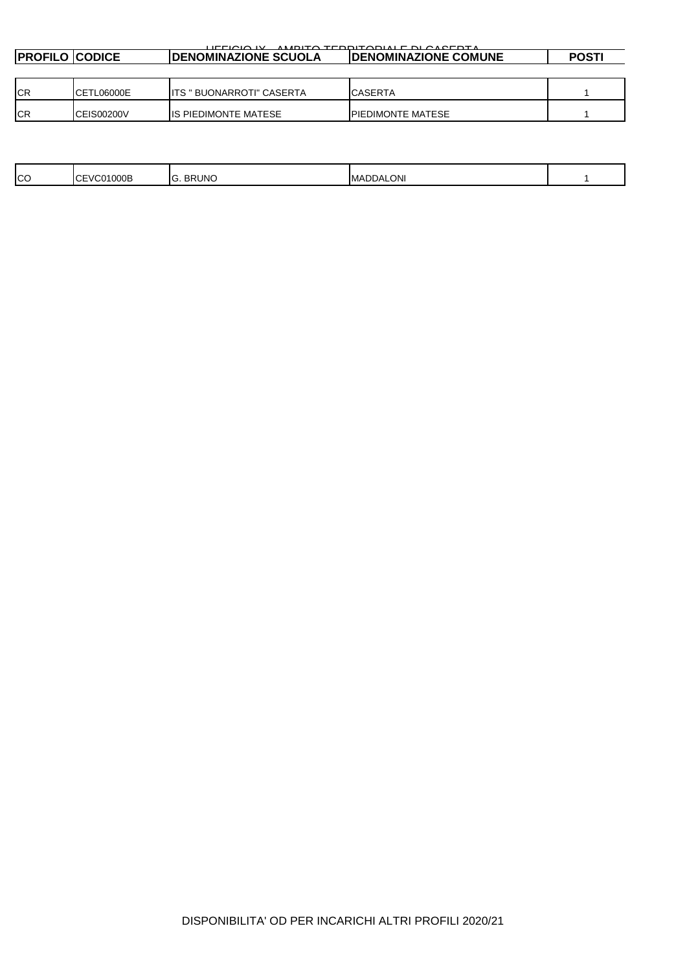| AMOITA TEDDITADIALE DI CAREDTA<br>$\overline{11}$ $\overline{1}$ $\overline{1}$ $\overline{1}$ $\overline{1}$ $\overline{1}$ $\overline{1}$ $\overline{1}$ $\overline{1}$ $\overline{1}$ |            |                              |                              |              |  |  |  |
|------------------------------------------------------------------------------------------------------------------------------------------------------------------------------------------|------------|------------------------------|------------------------------|--------------|--|--|--|
| <b>PROFILO CODICE</b>                                                                                                                                                                    |            | <b>IDENOMINAZIONE SCUOLA</b> | <b>IDENOMINAZIONE COMUNE</b> | <b>POSTI</b> |  |  |  |
|                                                                                                                                                                                          |            |                              |                              |              |  |  |  |
| <b>ICR</b>                                                                                                                                                                               | CETL06000E | IITS " BUONARROTI" CASERTA   | ICASERTA                     |              |  |  |  |
| <b>ICR</b>                                                                                                                                                                               | CEIS00200V | <b>IIS PIEDIMONTE MATESE</b> | <b>IPIEDIMONTE MATESE</b>    |              |  |  |  |

| CC<br><b>ONI</b><br>RUNC<br>$\sim$<br>000E<br>חח<br>DDA<br>IMA<br>вĸ<br>$\mathbf{v}$<br>. س |
|---------------------------------------------------------------------------------------------|
|---------------------------------------------------------------------------------------------|